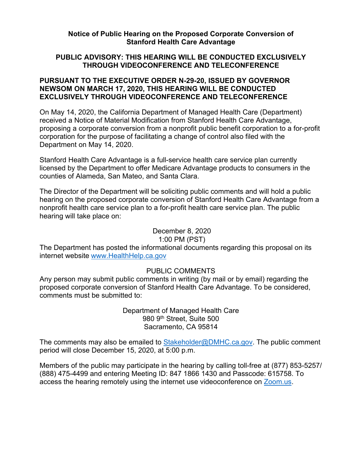### **Notice of Public Hearing on the Proposed Corporate Conversion of Stanford Health Care Advantage**

## **PUBLIC ADVISORY: THIS HEARING WILL BE CONDUCTED EXCLUSIVELY THROUGH VIDEOCONFERENCE AND TELECONFERENCE**

### **PURSUANT TO THE EXECUTIVE ORDER N-29-20, ISSUED BY GOVERNOR NEWSOM ON MARCH 17, 2020, THIS HEARING WILL BE CONDUCTED EXCLUSIVELY THROUGH VIDEOCONFERENCE AND TELECONFERENCE**

On May 14, 2020, the California Department of Managed Health Care (Department) received a Notice of Material Modification from Stanford Health Care Advantage, proposing a corporate conversion from a nonprofit public benefit corporation to a for-profit corporation for the purpose of facilitating a change of control also filed with the Department on May 14, 2020.

Stanford Health Care Advantage is a full-service health care service plan currently licensed by the Department to offer Medicare Advantage products to consumers in the counties of Alameda, San Mateo, and Santa Clara.

The Director of the Department will be soliciting public comments and will hold a public hearing on the proposed corporate conversion of Stanford Health Care Advantage from a nonprofit health care service plan to a for-profit health care service plan. The public hearing will take place on:

# December 8, 2020

## 1:00 PM (PST)

The Department has posted the informational documents regarding this proposal on its internet website [www.HealthHelp.ca.gov](http://www.healthhelp.ca.gov/)

## PUBLIC COMMENTS

Any person may submit public comments in writing (by mail or by email) regarding the proposed corporate conversion of Stanford Health Care Advantage. To be considered, comments must be submitted to:

> Department of Managed Health Care 980 9th Street, Suite 500 Sacramento, CA 95814

The comments may also be emailed to [Stakeholder@DMHC.ca.gov.](mailto:Stakeholder@DMHC.ca.gov) The public comment period will close December 15, 2020, at 5:00 p.m.

Members of the public may participate in the hearing by calling toll-free at (877) 853-5257/ (888) 475-4499 and entering Meeting ID: 847 1866 1430 and Passcode: 615758. To access the hearing remotely using the internet use videoconference on [Zoom.us.](https://us02web.zoom.us/j/84718661430?pwd=VWRHRTQxMlF5RE9rQ0haaENBalFyZz09)